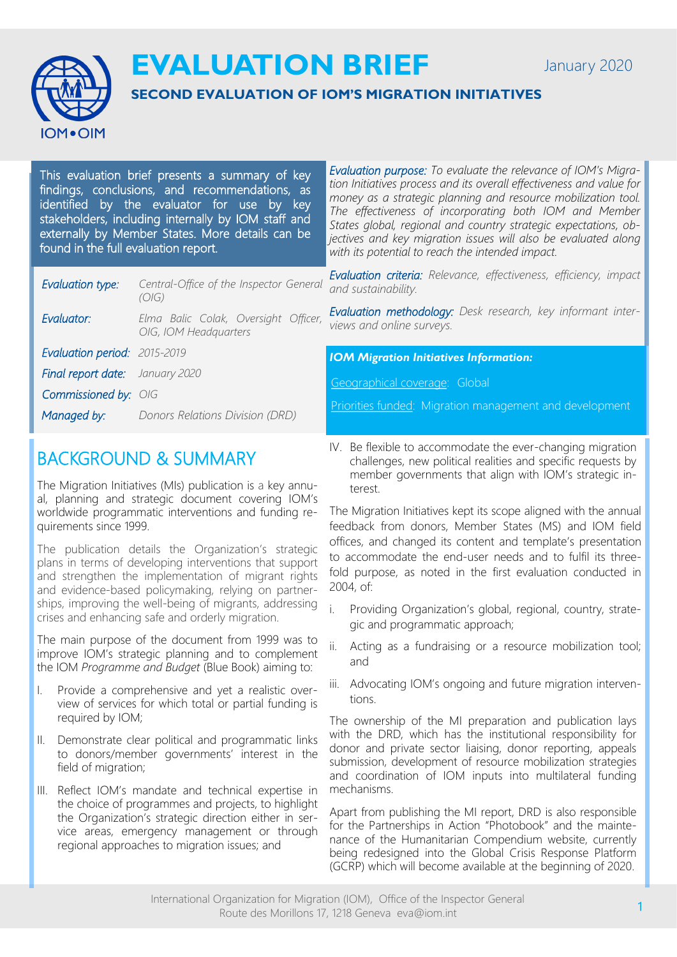January 2020



**EVALUATION BRIEF**

### **SECOND EVALUATION OF IOM'S MIGRATION INITIATIVES**

This evaluation brief presents a summary of key findings, conclusions, and recommendations, as identified by the evaluator for use by key stakeholders, including internally by IOM staff and externally by Member States. More details can be found in the full evaluation report.

| Evaluation type:                                        | Central-Office of the Inspector General<br>(O/G)              | Evaluation criteria: Relevance, effectiveness, efficiency, impact<br>and sustainability. |
|---------------------------------------------------------|---------------------------------------------------------------|------------------------------------------------------------------------------------------|
| Evaluator:                                              | Elma Balic Colak, Oversight Officer,<br>OIG, IOM Headquarters | Evaluation methodology: Desk research, key informant inter-<br>views and online surveys. |
| Evaluation period: 2015-2019                            |                                                               |                                                                                          |
|                                                         |                                                               |                                                                                          |
|                                                         |                                                               | <b>IOM Migration Initiatives Information:</b>                                            |
| Final report date: January 2020<br>Commissioned by: OIG |                                                               | Geographical coverage: Global<br>Priorities funded: Migration management and development |

## BACKGROUND & SUMMARY

The Migration Initiatives (MIs) publication is a key annual, planning and strategic document covering IOM's worldwide programmatic interventions and funding requirements since 1999.

The publication details the Organization's strategic plans in terms of developing interventions that support and strengthen the implementation of migrant rights and evidence-based policymaking, relying on partnerships, improving the well-being of migrants, addressing crises and enhancing safe and orderly migration.

The main purpose of the document from 1999 was to improve IOM's strategic planning and to complement the IOM *Programme and Budget* (Blue Book) aiming to:

- I. Provide a comprehensive and yet a realistic overview of services for which total or partial funding is required by IOM;
- II. Demonstrate clear political and programmatic links to donors/member governments' interest in the field of migration;
- III. Reflect IOM's mandate and technical expertise in the choice of programmes and projects, to highlight the Organization's strategic direction either in service areas, emergency management or through regional approaches to migration issues; and

IV. Be flexible to accommodate the ever-changing migration challenges, new political realities and specific requests by member governments that align with IOM's strategic interest.

*Evaluation purpose: To evaluate the relevance of IOM's Migration Initiatives process and its overall effectiveness and value for money as a strategic planning and resource mobilization tool. The effectiveness of incorporating both IOM and Member States global, regional and country strategic expectations, objectives and key migration issues will also be evaluated along* 

*with its potential to reach the intended impact.* 

The Migration Initiatives kept its scope aligned with the annual feedback from donors, Member States (MS) and IOM field offices, and changed its content and template's presentation to accommodate the end-user needs and to fulfil its threefold purpose, as noted in the first evaluation conducted in 2004, of:

- Providing Organization's global, regional, country, strategic and programmatic approach;
- ii. Acting as a fundraising or a resource mobilization tool; and
- iii. Advocating IOM's ongoing and future migration interventions.

The ownership of the MI preparation and publication lays with the DRD, which has the institutional responsibility for donor and private sector liaising, donor reporting, appeals submission, development of resource mobilization strategies and coordination of IOM inputs into multilateral funding mechanisms.

Apart from publishing the MI report, DRD is also responsible for the Partnerships in Action "Photobook" and the maintenance of the Humanitarian Compendium website, currently being redesigned into the Global Crisis Response Platform (GCRP) which will become available at the beginning of 2020.